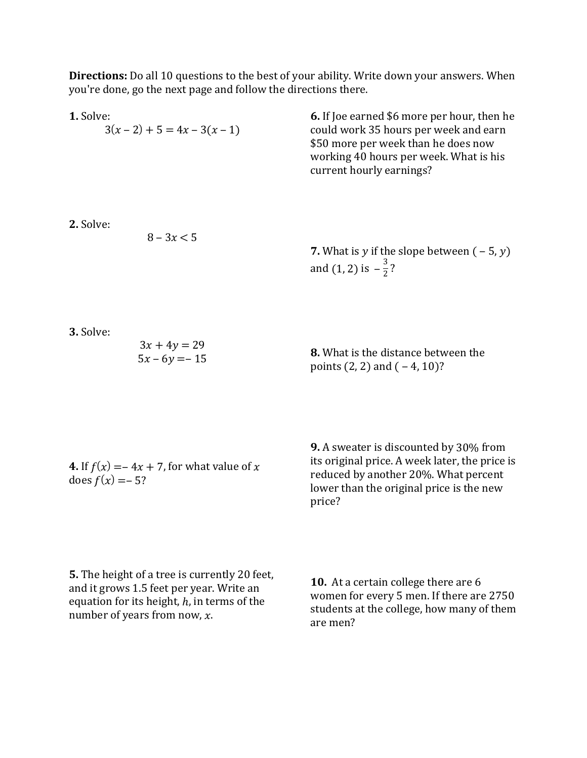**Directions:** Do all 10 questions to the best of your ability. Write down your answers. When you're done, go the next page and follow the directions there.

| 1. Solve:                                                                                                                                                                             | $3(x-2) + 5 = 4x - 3(x - 1)$      | <b>6.</b> If Joe earned \$6 more per hour, then he<br>could work 35 hours per week and earn<br>\$50 more per week than he does now<br>working 40 hours per week. What is his<br>current hourly earnings? |
|---------------------------------------------------------------------------------------------------------------------------------------------------------------------------------------|-----------------------------------|----------------------------------------------------------------------------------------------------------------------------------------------------------------------------------------------------------|
| 2. Solve:                                                                                                                                                                             | $8 - 3x < 5$                      | <b>7.</b> What is y if the slope between $(-5, y)$<br>and (1, 2) is $-\frac{3}{2}$ ?                                                                                                                     |
| 3. Solve:                                                                                                                                                                             | $3x + 4y = 29$<br>$5x - 6y = -15$ | <b>8.</b> What is the distance between the<br>points $(2, 2)$ and $(-4, 10)$ ?                                                                                                                           |
| <b>4.</b> If $f(x) = -4x + 7$ , for what value of x<br>does $f(x) = -5$ ?                                                                                                             |                                   | <b>9.</b> A sweater is discounted by 30% from<br>its original price. A week later, the price is<br>reduced by another 20%. What percent<br>lower than the original price is the new<br>price?            |
| <b>5.</b> The height of a tree is currently 20 feet,<br>and it grows 1.5 feet per year. Write an<br>equation for its height, $h$ , in terms of the<br>number of years from now, $x$ . |                                   | 10. At a certain college there are 6<br>women for every 5 men. If there are 2750<br>students at the college, how many of them<br>are men?                                                                |